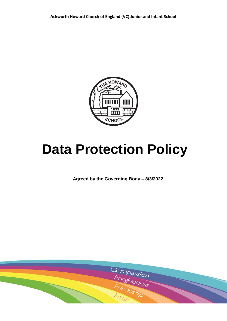

# **Data Protection Policy**

**Agreed by the Governing Body – 8/3/2022**

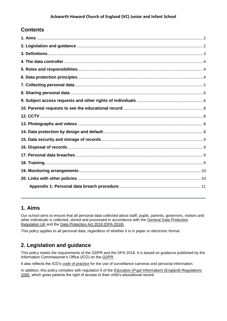# **Contents**

## <span id="page-1-0"></span>**1. Aims**

Our school aims to ensure that all personal data collected about staff, pupils, parents, governors, visitors and other individuals is collected, stored and processed in accordance with the [General Data Protection](https://ico.org.uk/for-organisations/guide-to-data-protection/guide-to-the-general-data-protection-regulation-gdpr/)  [Regulation UK](https://ico.org.uk/for-organisations/guide-to-data-protection/guide-to-the-general-data-protection-regulation-gdpr/) and the [Data Protection Act 2018 \(DPA 2018\).](http://www.legislation.gov.uk/ukpga/2018/12/contents/enacted)

This policy applies to all personal data, regardless of whether it is in paper or electronic format.

# <span id="page-1-1"></span>**2. Legislation and guidance**

This policy meets the requirements of the GDPR and the DPA 2018. It is based on guidance published by the Information Commissioner's Office (ICO) on the [GDPR.](https://ico.org.uk/for-organisations/guide-to-the-general-data-protection-regulation-gdpr/)

It also reflects the ICO's [code of practice](https://ico.org.uk/media/for-organisations/documents/1542/cctv-code-of-practice.pdf) for the use of surveillance cameras and personal information.

In addition, this policy complies with regulation 5 of the [Education \(Pupil Information\) \(England\) Regulations](http://www.legislation.gov.uk/uksi/2005/1437/regulation/5/made)  [2005,](http://www.legislation.gov.uk/uksi/2005/1437/regulation/5/made) which gives parents the right of access to their child's educational record.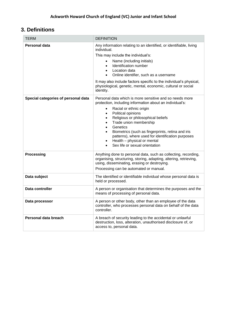# <span id="page-2-0"></span>**3. Definitions**

| TERM                                | <b>DEFINITION</b>                                                                                                                                                                                                                                                                                                                                                                                                                                                                                                      |
|-------------------------------------|------------------------------------------------------------------------------------------------------------------------------------------------------------------------------------------------------------------------------------------------------------------------------------------------------------------------------------------------------------------------------------------------------------------------------------------------------------------------------------------------------------------------|
| Personal data                       | Any information relating to an identified, or identifiable, living<br>individual.<br>This may include the individual's:<br>Name (including initials)<br>$\bullet$<br>Identification number<br>$\bullet$<br>Location data<br>$\bullet$<br>Online identifier, such as a username<br>$\bullet$<br>It may also include factors specific to the individual's physical,<br>physiological, genetic, mental, economic, cultural or social<br>identity.                                                                         |
| Special categories of personal data | Personal data which is more sensitive and so needs more<br>protection, including information about an individual's:<br>Racial or ethnic origin<br>$\bullet$<br>Political opinions<br>$\bullet$<br>Religious or philosophical beliefs<br>$\bullet$<br>Trade union membership<br>$\bullet$<br>Genetics<br>$\bullet$<br>Biometrics (such as fingerprints, retina and iris<br>patterns), where used for identification purposes<br>Health - physical or mental<br>$\bullet$<br>Sex life or sexual orientation<br>$\bullet$ |
| <b>Processing</b>                   | Anything done to personal data, such as collecting, recording,<br>organising, structuring, storing, adapting, altering, retrieving,<br>using, disseminating, erasing or destroying.<br>Processing can be automated or manual.                                                                                                                                                                                                                                                                                          |
| Data subject                        | The identified or identifiable individual whose personal data is<br>held or processed.                                                                                                                                                                                                                                                                                                                                                                                                                                 |
| Data controller                     | A person or organisation that determines the purposes and the<br>means of processing of personal data.                                                                                                                                                                                                                                                                                                                                                                                                                 |
| Data processor                      | A person or other body, other than an employee of the data<br>controller, who processes personal data on behalf of the data<br>controller.                                                                                                                                                                                                                                                                                                                                                                             |
| Personal data breach                | A breach of security leading to the accidental or unlawful<br>destruction, loss, alteration, unauthorised disclosure of, or<br>access to, personal data.                                                                                                                                                                                                                                                                                                                                                               |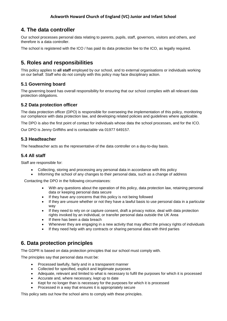# <span id="page-3-0"></span>**4. The data controller**

Our school processes personal data relating to parents, pupils, staff, governors, visitors and others, and therefore is a data controller.

The school is registered with the ICO / has paid its data protection fee to the ICO, as legally required.

# <span id="page-3-1"></span>**5. Roles and responsibilities**

This policy applies to **all staff** employed by our school, and to external organisations or individuals working on our behalf. Staff who do not comply with this policy may face disciplinary action.

#### **5.1 Governing board**

The governing board has overall responsibility for ensuring that our school complies with all relevant data protection obligations.

#### **5.2 Data protection officer**

The data protection officer (DPO) is responsible for overseeing the implementation of this policy, monitoring our compliance with data protection law, and developing related policies and guidelines where applicable.

The DPO is also the first point of contact for individuals whose data the school processes, and for the ICO.

Our DPO is Jenny Griffiths and is contactable via 01977 649157.

#### **5.3 Headteacher**

The headteacher acts as the representative of the data controller on a day-to-day basis.

#### **5.4 All staff**

Staff are responsible for:

- Collecting, storing and processing any personal data in accordance with this policy
- Informing the school of any changes to their personal data, such as a change of address

Contacting the DPO in the following circumstances:

- With any questions about the operation of this policy, data protection law, retaining personal data or keeping personal data secure
- If they have any concerns that this policy is not being followed
- If they are unsure whether or not they have a lawful basis to use personal data in a particular way
- If they need to rely on or capture consent, draft a privacy notice, deal with data protection rights invoked by an individual, or transfer personal data outside the UK Area
- If there has been a data breach
- Whenever they are engaging in a new activity that may affect the privacy rights of individuals
- If they need help with any contracts or sharing personal data with third parties

## <span id="page-3-2"></span>**6. Data protection principles**

The GDPR is based on data protection principles that our school must comply with.

The principles say that personal data must be:

- Processed lawfully, fairly and in a transparent manner
- Collected for specified, explicit and legitimate purposes
- Adequate, relevant and limited to what is necessary to fulfil the purposes for which it is processed
- Accurate and, where necessary, kept up to date
- Kept for no longer than is necessary for the purposes for which it is processed
- Processed in a way that ensures it is appropriately secure

This policy sets out how the school aims to comply with these principles.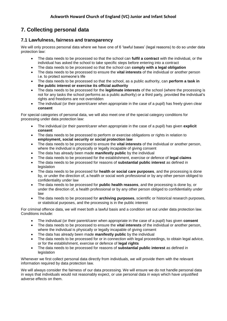# <span id="page-4-0"></span>**7. Collecting personal data**

#### **7.1 Lawfulness, fairness and transparency**

We will only process personal data where we have one of 6 'lawful bases' (legal reasons) to do so under data protection law:

- The data needs to be processed so that the school can **fulfil a contract** with the individual, or the individual has asked the school to take specific steps before entering into a contract
- The data needs to be processed so that the school can **comply with a legal obligation**
- The data needs to be processed to ensure the **vital interests** of the individual or another person i.e. to protect someone's life
- The data needs to be processed so that the school, as a public authority, can **perform a task in the public interest or exercise its official authority**
- The data needs to be processed for the **legitimate interests** of the school (where the processing is not for any tasks the school performs as a public authority) or a third party, provided the individual's rights and freedoms are not overridden
- The individual (or their parent/carer when appropriate in the case of a pupil) has freely given clear **consent**

For special categories of personal data, we will also meet one of the special category conditions for processing under data protection law:

- The individual (or their parent/carer when appropriate in the case of a pupil) has given **explicit consent**
- The data needs to be processed to perform or exercise obligations or rights in relation to **employment, social security or social protection law**
- The data needs to be processed to ensure the **vital interests** of the individual or another person, where the individual is physically or legally incapable of giving consent
- The data has already been made **manifestly public** by the individual
- The data needs to be processed for the establishment, exercise or defence of **legal claims**
- The data needs to be processed for reasons of **substantial public interest** as defined in legislation
- The data needs to be processed for **health or social care purposes**, and the processing is done by, or under the direction of, a health or social work professional or by any other person obliged to confidentiality under law
- The data needs to be processed for **public health reasons**, and the processing is done by, or under the direction of, a health professional or by any other person obliged to confidentiality under law
- The data needs to be processed for **archiving purposes**, scientific or historical research purposes, or statistical purposes, and the processing is in the public interest

For criminal offence data, we will meet both a lawful basis and a condition set out under data protection law. Conditions include:

- The individual (or their parent/carer when appropriate in the case of a pupil) has given **consent**
- The data needs to be processed to ensure the **vital interests** of the individual or another person, where the individual is physically or legally incapable of giving consent
- The data has already been made **manifestly public** by the individual
- The data needs to be processed for or in connection with legal proceedings, to obtain legal advice, or for the establishment, exercise or defence of **legal rights**
- The data needs to be processed for reasons of **substantial public interest** as defined in **legislation**

Whenever we first collect personal data directly from individuals, we will provide them with the relevant information required by data protection law.

We will always consider the fairness of our data processing. We will ensure we do not handle personal data in ways that individuals would not reasonably expect, or use personal data in ways which have unjustified adverse effects on them.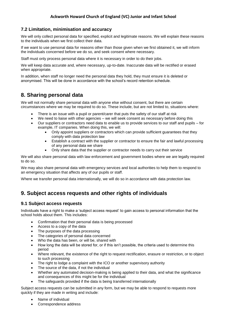#### **7.2 Limitation, minimisation and accuracy**

We will only collect personal data for specified, explicit and legitimate reasons. We will explain these reasons to the individuals when we first collect their data.

If we want to use personal data for reasons other than those given when we first obtained it, we will inform the individuals concerned before we do so, and seek consent where necessary.

Staff must only process personal data where it is necessary in order to do their jobs.

We will keep data accurate and, where necessary, up-to-date. Inaccurate data will be rectified or erased when appropriate.

In addition, when staff no longer need the personal data they hold, they must ensure it is deleted or anonymised. This will be done in accordance with the school's record retention schedule.

### <span id="page-5-0"></span>**8. Sharing personal data**

We will not normally share personal data with anyone else without consent, but there are certain circumstances where we may be required to do so. These include, but are not limited to, situations where:

- There is an issue with a pupil or parent/carer that puts the safety of our staff at risk
- We need to liaise with other agencies we will seek consent as necessary before doing this
- Our suppliers or contractors need data to enable us to provide services to our staff and pupils for example, IT companies. When doing this, we will:
	- Only appoint suppliers or contractors which can provide sufficient guarantees that they comply with data protection law
	- Establish a contract with the supplier or contractor to ensure the fair and lawful processing of any personal data we share
	- Only share data that the supplier or contractor needs to carry out their service

We will also share personal data with law enforcement and government bodies where we are legally required to do so.

We may also share personal data with emergency services and local authorities to help them to respond to an emergency situation that affects any of our pupils or staff.

Where we transfer personal data internationally, we will do so in accordance with data protection law.

## <span id="page-5-1"></span>**9. Subject access requests and other rights of individuals**

#### **9.1 Subject access requests**

Individuals have a right to make a 'subject access request' to gain access to personal information that the school holds about them. This includes:

- Confirmation that their personal data is being processed
- Access to a copy of the data
- The purposes of the data processing
- The categories of personal data concerned
- Who the data has been, or will be, shared with
- How long the data will be stored for, or if this isn't possible, the criteria used to determine this period
- Where relevant, the existence of the right to request rectification, erasure or restriction, or to object to such processing
- The right to lodge a complaint with the ICO or another supervisory authority
- The source of the data, if not the individual
- Whether any automated decision-making is being applied to their data, and what the significance and consequences of this might be for the individual
- The safeguards provided if the data is being transferred internationally

Subject access requests can be submitted in any form, but we may be able to respond to requests more quickly if they are made in writing and include:

- Name of individual
- Correspondence address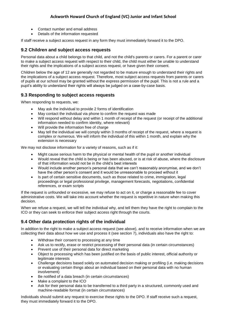#### **Ackworth Howard Church of England (VC) Junior and Infant School**

- Contact number and email address
- Details of the information requested

If staff receive a subject access request in any form they must immediately forward it to the DPO.

#### **9.2 Children and subject access requests**

Personal data about a child belongs to that child, and not the child's parents or carers. For a parent or carer to make a subject access request with respect to their child, the child must either be unable to understand their rights and the implications of a subject access request, or have given their consent.

Children below the age of 12 are generally not regarded to be mature enough to understand their rights and the implications of a subject access request. Therefore, most subject access requests from parents or carers of pupils at our school may be granted without the express permission of the pupil. This is not a rule and a pupil's ability to understand their rights will always be judged on a case-by-case basis.

#### **9.3 Responding to subject access requests**

When responding to requests, we:

- May ask the individual to provide 2 forms of identification
- May contact the individual via phone to confirm the request was made
- Will respond without delay and within 1 month of receipt of the request (or receipt of the additional information needed to confirm identity, where relevant)
- Will provide the information free of charge
- May tell the individual we will comply within 3 months of receipt of the request, where a request is complex or numerous. We will inform the individual of this within 1 month, and explain why the extension is necessary

We may not disclose information for a variety of reasons, such as if it:

- Might cause serious harm to the physical or mental health of the pupil or another individual
- Would reveal that the child is being or has been abused, or is at risk of abuse, where the disclosure of that information would not be in the child's best interests
- Would include another person's personal data that we can't reasonably anonymise, and we don't have the other person's consent and it would be unreasonable to proceed without it
- Is part of certain sensitive documents, such as those related to crime, immigration, legal proceedings or legal professional privilege, management forecasts, negotiations, confidential references, or exam scripts

If the request is unfounded or excessive, we may refuse to act on it, or charge a reasonable fee to cover administrative costs. We will take into account whether the request is repetitive in nature when making this decision.

When we refuse a request, we will tell the individual why, and tell them they have the right to complain to the ICO or they can seek to enforce their subject access right through the courts.

#### **9.4 Other data protection rights of the individual**

In addition to the right to make a subject access request (see above), and to receive information when we are collecting their data about how we use and process it (see section 7), individuals also have the right to:

- Withdraw their consent to processing at any time
- Ask us to rectify, erase or restrict processing of their personal data (in certain circumstances)
- Prevent use of their personal data for direct marketing
- Object to processing which has been justified on the basis of public interest, official authority or legitimate interests
- Challenge decisions based solely on automated decision making or profiling (i.e. making decisions or evaluating certain things about an individual based on their personal data with no human involvement)
- Be notified of a data breach (in certain circumstances)
- Make a complaint to the ICO
- Ask for their personal data to be transferred to a third party in a structured, commonly used and machine-readable format (in certain circumstances)

Individuals should submit any request to exercise these rights to the DPO. If staff receive such a request, they must immediately forward it to the DPO.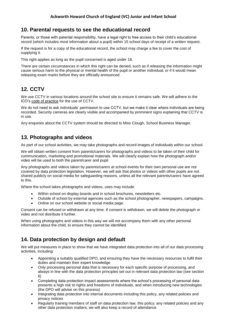## <span id="page-7-0"></span>**10. Parental requests to see the educational record**

Parents, or those with parental responsibility, have a legal right to free access to their child's educational record (which includes most information about a pupil) within 15 school days of receipt of a written request.

If the request is for a copy of the educational record, the school may charge a fee to cover the cost of supplying it.

This right applies as long as the pupil concerned is aged under 18.

There are certain circumstances in which this right can be denied, such as if releasing the information might cause serious harm to the physical or mental health of the pupil or another individual, or if it would mean releasing exam marks before they are officially announced.

# <span id="page-7-1"></span>**12. CCTV**

We use CCTV in various locations around the school site to ensure it remains safe. We will adhere to the ICO's [code of practice](https://ico.org.uk/media/for-organisations/documents/1542/cctv-code-of-practice.pdf) for the use of CCTV.

We do not need to ask individuals' permission to use CCTV, but we make it clear where individuals are being recorded. Security cameras are clearly visible and accompanied by prominent signs explaining that CCTV is in use.

Any enquiries about the CCTV system should be directed to Miss Clough, School Business Manager.

## <span id="page-7-2"></span>**13. Photographs and videos**

As part of our school activities, we may take photographs and record images of individuals within our school.

We will obtain written consent from parents/carers for photographs and videos to be taken of their child for communication, marketing and promotional materials. We will clearly explain how the photograph and/or video will be used to both the parent/carer and pupil.

Any photographs and videos taken by parents/carers at school events for their own personal use are not covered by data protection legislation. However, we will ask that photos or videos with other pupils are not shared publicly on social media for safeguarding reasons, unless all the relevant parents/carers have agreed to this.

Where the school takes photographs and videos, uses may include:

- Within school on display boards and in school brochures, newsletters etc.
- Outside of school by external agencies such as the school photographer, newspapers, campaigns.
	- Online on our school website or social media page.

Consent can be refused or withdrawn at any time. If consent is withdrawn, we will delete the photograph or video and not distribute it further.

When using photographs and videos in this way we will not accompany them with any other personal information about the child, to ensure they cannot be identified.

## <span id="page-7-3"></span>**14. Data protection by design and default**

We will put measures in place to show that we have integrated data protection into all of our data processing activities, including:

- Appointing a suitably qualified DPO, and ensuring they have the necessary resources to fulfil their duties and maintain their expert knowledge
- Only processing personal data that is necessary for each specific purpose of processing, and always in line with the data protection principles set out in relevant data protection law (see section 6)
- Completing data protection impact assessments where the school's processing of personal data presents a high risk to rights and freedoms of individuals, and when introducing new technologies (the DPO will advise on this process)
- Integrating data protection into internal documents including this policy, any related policies and privacy notices
- Regularly training members of staff on data protection law, this policy, any related policies and any other data protection matters; we will also keep a record of attendance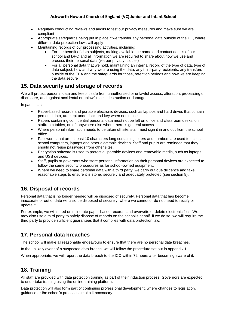- Regularly conducting reviews and audits to test our privacy measures and make sure we are compliant
- Appropriate safeguards being put in place if we transfer any personal data outside of the UK, where different data protection laws will apply
- Maintaining records of our processing activities, including:
	- For the benefit of data subjects, making available the name and contact details of our school and DPO and all information we are required to share about how we use and process their personal data (via our privacy notices)
	- For all personal data that we hold, maintaining an internal record of the type of data, type of data subject, how and why we are using the data, any third-party recipients, any transfers outside of the EEA and the safeguards for those, retention periods and how we are keeping the data secure

# <span id="page-8-0"></span>**15. Data security and storage of records**

We will protect personal data and keep it safe from unauthorised or unlawful access, alteration, processing or disclosure, and against accidental or unlawful loss, destruction or damage.

In particular:

- Paper-based records and portable electronic devices, such as laptops and hard drives that contain personal data, are kept under lock and key when not in use.
- Papers containing confidential personal data must not be left on office and classroom desks, on staffroom tables, or left anywhere else where there is general access.
- Where personal information needs to be taken off site, staff must sign it in and out from the school office.
- Passwords that are at least 10 characters long containing letters and numbers are used to access school computers, laptops and other electronic devices. Staff and pupils are reminded that they should not reuse passwords from other sites.
- Encryption software is used to protect all portable devices and removable media, such as laptops and USB devices.
- Staff, pupils or governors who store personal information on their personal devices are expected to follow the same security procedures as for school-owned equipment.
- Where we need to share personal data with a third party, we carry out due diligence and take reasonable steps to ensure it is stored securely and adequately protected (see section 8).

# <span id="page-8-1"></span>**16. Disposal of records**

Personal data that is no longer needed will be disposed of securely. Personal data that has become inaccurate or out of date will also be disposed of securely, where we cannot or do not need to rectify or update it.

For example, we will shred or incinerate paper-based records, and overwrite or delete electronic files. We may also use a third party to safely dispose of records on the school's behalf. If we do so, we will require the third party to provide sufficient guarantees that it complies with data protection law.

# <span id="page-8-2"></span>**17. Personal data breaches**

The school will make all reasonable endeavours to ensure that there are no personal data breaches.

In the unlikely event of a suspected data breach, we will follow the procedure set out in appendix 1.

When appropriate, we will report the data breach to the ICO within 72 hours after becoming aware of it.

# <span id="page-8-3"></span>**18. Training**

All staff are provided with data protection training as part of their induction process. Governors are expected to undertake training using the online training platform.

Data protection will also form part of continuing professional development, where changes to legislation, guidance or the school's processes make it necessary.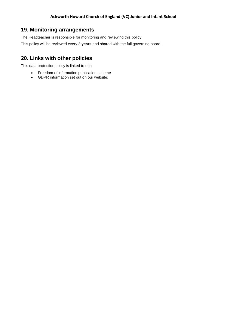# <span id="page-9-0"></span>**19. Monitoring arrangements**

The Headteacher is responsible for monitoring and reviewing this policy.

This policy will be reviewed every **2 years** and shared with the full governing board.

# <span id="page-9-1"></span>**20. Links with other policies**

This data protection policy is linked to our:

- Freedom of information publication scheme
- GDPR information set out on our website.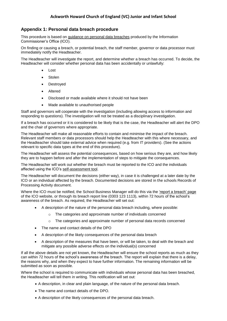#### <span id="page-10-0"></span>**Appendix 1: Personal data breach procedure**

This procedure is based on [guidance on personal data breaches](https://ico.org.uk/for-organisations/guide-to-the-general-data-protection-regulation-gdpr/personal-data-breaches/) produced by the Information Commissioner's Office (ICO).

On finding or causing a breach, or potential breach, the staff member, governor or data processor must immediately notify the Headteacher.

The Headteacher will investigate the report, and determine whether a breach has occurred. To decide, the Headteacher will consider whether personal data has been accidentally or unlawfully:

- Lost
- **Stolen**
- Destroyed
- Altered
- Disclosed or made available where it should not have been
- Made available to unauthorised people

Staff and governors will cooperate with the investigation (including allowing access to information and responding to questions). The investigation will not be treated as a disciplinary investigation.

If a breach has occurred or it is considered to be likely that is the case, the Headteacher will alert the DPO and the chair of governors where appropriate.

The Headteacher will make all reasonable efforts to contain and minimise the impact of the breach. Relevant staff members or data processors should help the Headteacher with this where necessary, and the Headteacher should take external advice when required (e.g. from IT providers). (See the actions relevant to specific data types at the end of this procedure).

The Headteacher will assess the potential consequences, based on how serious they are, and how likely they are to happen before and after the implementation of steps to mitigate the consequences.

The Headteacher will work out whether the breach must be reported to the ICO and the individuals affected using the ICO's [self-assessment tool.](https://ico.org.uk/for-organisations/report-a-breach/personal-data-breach-assessment/)

The Headteacher will document the decisions (either way), in case it is challenged at a later date by the ICO or an individual affected by the breach. Documented decisions are stored in the schools Records of Processing Activity document.

Where the ICO must be notified, the School Business Manager will do this via the ['report a breach' page](https://ico.org.uk/for-organisations/report-a-breach/) of the ICO website, or through its breach report line (0303 123 1113), within 72 hours of the school's awareness of the breach. As required, the Headteacher will set out:

- A description of the nature of the personal data breach including, where possible:
	- o The categories and approximate number of individuals concerned
	- o The categories and approximate number of personal data records concerned
- The name and contact details of the DPO
- A description of the likely consequences of the personal data breach
- A description of the measures that have been, or will be taken, to deal with the breach and mitigate any possible adverse effects on the individual(s) concerned

If all the above details are not yet known, the Headteacher will ensure the school reports as much as they can within 72 hours of the school's awareness of the breach. The report will explain that there is a delay, the reasons why, and when they expect to have further information. The remaining information will be submitted as soon as possible.

Where the school is required to communicate with individuals whose personal data has been breached, the Headteacher will tell them in writing. This notification will set out:

- A description, in clear and plain language, of the nature of the personal data breach.
- The name and contact details of the DPO.
- A description of the likely consequences of the personal data breach.